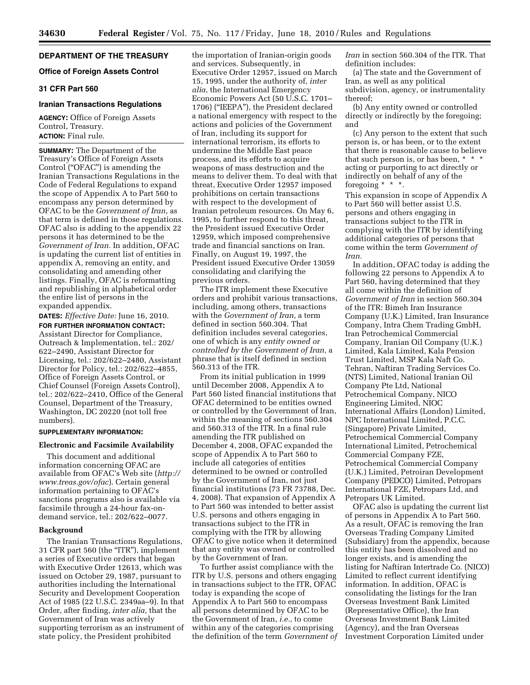# **DEPARTMENT OF THE TREASURY**

# **Office of Foreign Assets Control**

## **31 CFR Part 560**

## **Iranian Transactions Regulations**

**AGENCY:** Office of Foreign Assets Control, Treasury. **ACTION:** Final rule.

**SUMMARY:** The Department of the Treasury's Office of Foreign Assets Control ("OFAC") is amending the Iranian Transactions Regulations in the Code of Federal Regulations to expand the scope of Appendix A to Part 560 to encompass any person determined by OFAC to be the *Government of Iran,* as that term is defined in those regulations. OFAC also is adding to the appendix 22 persons it has determined to be the *Government of Iran.* In addition, OFAC is updating the current list of entities in appendix A, removing an entity, and consolidating and amending other listings. Finally, OFAC is reformatting and republishing in alphabetical order the entire list of persons in the expanded appendix.

**DATES:** *Effective Date:* June 16, 2010.

**FOR FURTHER INFORMATION CONTACT:**  Assistant Director for Compliance, Outreach & Implementation, tel.: 202/ 622–2490, Assistant Director for Licensing, tel.: 202/622–2480, Assistant Director for Policy, tel.: 202/622–4855, Office of Foreign Assets Control, or Chief Counsel (Foreign Assets Control), tel.: 202/622–2410, Office of the General Counsel, Department of the Treasury, Washington, DC 20220 (not toll free numbers).

### **SUPPLEMENTARY INFORMATION:**

#### **Electronic and Facsimile Availability**

This document and additional information concerning OFAC are available from OFAC's Web site (*[http://](http://www.treas.gov/ofac) [www.treas.gov/ofac](http://www.treas.gov/ofac)*). Certain general information pertaining to OFAC's sanctions programs also is available via facsimile through a 24-hour fax-ondemand service, tel.: 202/622–0077.

#### **Background**

The Iranian Transactions Regulations, 31 CFR part 560 (the "ITR"), implement a series of Executive orders that began with Executive Order 12613, which was issued on October 29, 1987, pursuant to authorities including the International Security and Development Cooperation Act of 1985 (22 U.S.C. 2349aa–9). In that Order, after finding, *inter alia,* that the Government of Iran was actively supporting terrorism as an instrument of state policy, the President prohibited

the importation of Iranian-origin goods and services. Subsequently, in Executive Order 12957, issued on March 15, 1995, under the authority of, *inter alia,* the International Emergency Economic Powers Act (50 U.S.C. 1701– 1706) (''IEEPA''), the President declared a national emergency with respect to the actions and policies of the Government of Iran, including its support for international terrorism, its efforts to undermine the Middle East peace process, and its efforts to acquire weapons of mass destruction and the means to deliver them. To deal with that threat, Executive Order 12957 imposed prohibitions on certain transactions with respect to the development of Iranian petroleum resources. On May 6, 1995, to further respond to this threat, the President issued Executive Order 12959, which imposed comprehensive trade and financial sanctions on Iran. Finally, on August 19, 1997, the President issued Executive Order 13059 consolidating and clarifying the previous orders.

The ITR implement these Executive orders and prohibit various transactions, including, among others, transactions with the *Government of Iran,* a term defined in section 560.304. That definition includes several categories, one of which is any *entity owned or controlled by the Government of Iran,* a phrase that is itself defined in section 560.313 of the ITR.

From its initial publication in 1999 until December 2008, Appendix A to Part 560 listed financial institutions that OFAC determined to be entities owned or controlled by the Government of Iran, within the meaning of sections 560.304 and 560.313 of the ITR. In a final rule amending the ITR published on December 4, 2008, OFAC expanded the scope of Appendix A to Part 560 to include all categories of entities determined to be owned or controlled by the Government of Iran, not just financial institutions (73 FR 73788, Dec. 4, 2008). That expansion of Appendix A to Part 560 was intended to better assist U.S. persons and others engaging in transactions subject to the ITR in complying with the ITR by allowing OFAC to give notice when it determined that any entity was owned or controlled by the Government of Iran.

To further assist compliance with the ITR by U.S. persons and others engaging in transactions subject to the ITR, OFAC today is expanding the scope of Appendix A to Part 560 to encompass all persons determined by OFAC to be the Government of Iran, *i.e.,* to come within any of the categories comprising the definition of the term *Government of*  *Iran* in section 560.304 of the ITR. That definition includes:

(a) The state and the Government of Iran, as well as any political subdivision, agency, or instrumentality thereof;

(b) Any entity owned or controlled directly or indirectly by the foregoing; and

(c) Any person to the extent that such person is, or has been, or to the extent that there is reasonable cause to believe that such person is, or has been, \* \* \* acting or purporting to act directly or indirectly on behalf of any of the foregoing  $* * *$ .

This expansion in scope of Appendix A to Part 560 will better assist U.S. persons and others engaging in transactions subject to the ITR in complying with the ITR by identifying additional categories of persons that come within the term *Government of Iran.* 

In addition, OFAC today is adding the following 22 persons to Appendix A to Part 560, having determined that they all come within the definition of *Government of Iran* in section 560.304 of the ITR: Bimeh Iran Insurance Company (U.K.) Limited, Iran Insurance Company, Intra Chem Trading GmbH, Iran Petrochemical Commercial Company, Iranian Oil Company (U.K.) Limited, Kala Limited, Kala Pension Trust Limited, MSP Kala Naft Co. Tehran, Naftiran Trading Services Co. (NTS) Limited, National Iranian Oil Company Pte Ltd, National Petrochemical Company, NICO Engineering Limited, NIOC International Affairs (London) Limited, NPC International Limited, P.C.C. (Singapore) Private Limited, Petrochemical Commercial Company International Limited, Petrochemical Commercial Company FZE, Petrochemical Commercial Company (U.K.) Limited, Petroiran Development Company (PEDCO) Limited, Petropars International FZE, Petropars Ltd, and Petropars UK Limited.

OFAC also is updating the current list of persons in Appendix A to Part 560. As a result, OFAC is removing the Iran Overseas Trading Company Limited (Subsidiary) from the appendix, because this entity has been dissolved and no longer exists, and is amending the listing for Naftiran Intertrade Co. (NICO) Limited to reflect current identifying information. In addition, OFAC is consolidating the listings for the Iran Overseas Investment Bank Limited (Representative Office), the Iran Overseas Investment Bank Limited (Agency), and the Iran Overseas Investment Corporation Limited under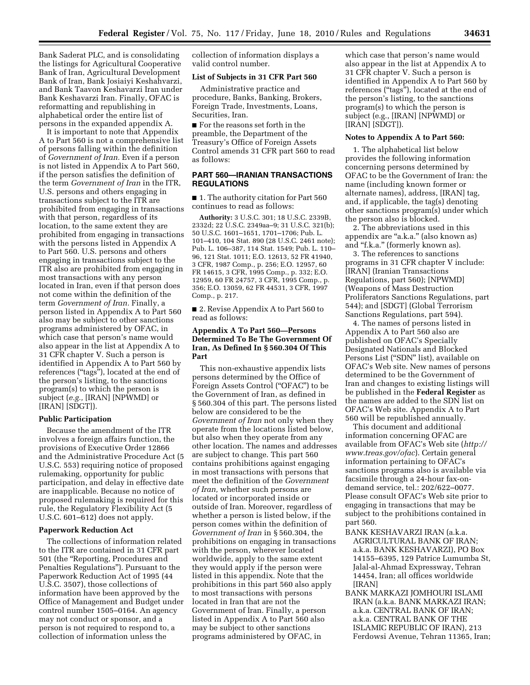Bank Saderat PLC, and is consolidating the listings for Agricultural Cooperative Bank of Iran, Agricultural Development Bank of Iran, Bank Josiaiyi Keshahvarzi, and Bank Taavon Keshavarzi Iran under Bank Keshavarzi Iran. Finally, OFAC is reformatting and republishing in alphabetical order the entire list of persons in the expanded appendix A.

It is important to note that Appendix A to Part 560 is not a comprehensive list of persons falling within the definition of *Government of Iran.* Even if a person is not listed in Appendix A to Part 560, if the person satisfies the definition of the term *Government of Iran* in the ITR, U.S. persons and others engaging in transactions subject to the ITR are prohibited from engaging in transactions with that person, regardless of its location, to the same extent they are prohibited from engaging in transactions with the persons listed in Appendix A to Part 560. U.S. persons and others engaging in transactions subject to the ITR also are prohibited from engaging in most transactions with any person located in Iran, even if that person does not come within the definition of the term *Government of Iran.* Finally, a person listed in Appendix A to Part 560 also may be subject to other sanctions programs administered by OFAC, in which case that person's name would also appear in the list at Appendix A to 31 CFR chapter V. Such a person is identified in Appendix A to Part 560 by references ("tags"), located at the end of the person's listing, to the sanctions program(s) to which the person is subject (*e.g.,* [IRAN] [NPWMD] or [IRAN] [SDGT]).

### **Public Participation**

Because the amendment of the ITR involves a foreign affairs function, the provisions of Executive Order 12866 and the Administrative Procedure Act (5 U.S.C. 553) requiring notice of proposed rulemaking, opportunity for public participation, and delay in effective date are inapplicable. Because no notice of proposed rulemaking is required for this rule, the Regulatory Flexibility Act (5 U.S.C. 601–612) does not apply.

#### **Paperwork Reduction Act**

The collections of information related to the ITR are contained in 31 CFR part 501 (the ''Reporting, Procedures and Penalties Regulations''). Pursuant to the Paperwork Reduction Act of 1995 (44 U.S.C. 3507), those collections of information have been approved by the Office of Management and Budget under control number 1505–0164. An agency may not conduct or sponsor, and a person is not required to respond to, a collection of information unless the

collection of information displays a valid control number.

## **List of Subjects in 31 CFR Part 560**

Administrative practice and procedure, Banks, Banking, Brokers, Foreign Trade, Investments, Loans, Securities, Iran.

■ For the reasons set forth in the preamble, the Department of the Treasury's Office of Foreign Assets Control amends 31 CFR part 560 to read as follows:

## **PART 560—IRANIAN TRANSACTIONS REGULATIONS**

■ 1. The authority citation for Part 560 continues to read as follows:

**Authority:** 3 U.S.C. 301; 18 U.S.C. 2339B, 2332d; 22 U.S.C. 2349aa–9; 31 U.S.C. 321(b); 50 U.S.C. 1601–1651, 1701–1706; Pub. L. 101–410, 104 Stat. 890 (28 U.S.C. 2461 note); Pub. L. 106–387, 114 Stat. 1549; Pub. L. 110– 96, 121 Stat. 1011; E.O. 12613, 52 FR 41940, 3 CFR, 1987 Comp., p. 256; E.O. 12957, 60 FR 14615, 3 CFR, 1995 Comp., p. 332; E.O. 12959, 60 FR 24757, 3 CFR, 1995 Comp., p. 356; E.O. 13059, 62 FR 44531, 3 CFR, 1997 Comp., p. 217.

■ 2. Revise Appendix A to Part 560 to read as follows:

# **Appendix A To Part 560—Persons Determined To Be The Government Of Iran, As Defined In § 560.304 Of This Part**

This non-exhaustive appendix lists persons determined by the Office of Foreign Assets Control (''OFAC'') to be the Government of Iran, as defined in § 560.304 of this part. The persons listed below are considered to be the *Government of Iran* not only when they operate from the locations listed below, but also when they operate from any other location. The names and addresses are subject to change. This part 560 contains prohibitions against engaging in most transactions with persons that meet the definition of the *Government of Iran,* whether such persons are located or incorporated inside or outside of Iran. Moreover, regardless of whether a person is listed below, if the person comes within the definition of *Government of Iran* in § 560.304, the prohibitions on engaging in transactions with the person, wherever located worldwide, apply to the same extent they would apply if the person were listed in this appendix. Note that the prohibitions in this part 560 also apply to most transactions with persons located in Iran that are not the Government of Iran. Finally, a person listed in Appendix A to Part 560 also may be subject to other sanctions programs administered by OFAC, in

which case that person's name would also appear in the list at Appendix A to 31 CFR chapter V. Such a person is identified in Appendix A to Part 560 by references ("tags"), located at the end of the person's listing, to the sanctions program(s) to which the person is subject (e.g., [IRAN] [NPWMD] or [IRAN] [SDGT]).

#### **Notes to Appendix A to Part 560:**

1. The alphabetical list below provides the following information concerning persons determined by OFAC to be the Government of Iran: the name (including known former or alternate names), address, [IRAN] tag, and, if applicable, the tag(s) denoting other sanctions program(s) under which the person also is blocked.

2. The abbreviations used in this appendix are "a.k.a." (also known as) and "f.k.a." (formerly known as).

3. The references to sanctions programs in 31 CFR chapter V include: [IRAN] (Iranian Transactions Regulations, part 560); [NPWMD] (Weapons of Mass Destruction Proliferators Sanctions Regulations, part 544); and [SDGT] (Global Terrorism Sanctions Regulations, part 594).

4. The names of persons listed in Appendix A to Part 560 also are published on OFAC's Specially Designated Nationals and Blocked Persons List (''SDN'' list), available on OFAC's Web site. New names of persons determined to be the Government of Iran and changes to existing listings will be published in the **Federal Register** as the names are added to the SDN list on OFAC's Web site. Appendix A to Part 560 will be republished annually.

This document and additional information concerning OFAC are available from OFAC's Web site (*[http://](http://www.treas.gov/ofac) [www.treas.gov/ofac](http://www.treas.gov/ofac)*). Certain general information pertaining to OFAC's sanctions programs also is available via facsimile through a 24-hour fax-ondemand service, tel.: 202/622–0077. Please consult OFAC's Web site prior to engaging in transactions that may be subject to the prohibitions contained in part 560.

- BANK KESHAVARZI IRAN (a.k.a. AGRICULTURAL BANK OF IRAN; a.k.a. BANK KESHAVARZI), PO Box 14155–6395, 129 Patrice Lumumba St, Jalal-al-Ahmad Expressway, Tehran 14454, Iran; all offices worldwide [IRAN]
- BANK MARKAZI JOMHOURI ISLAMI IRAN (a.k.a. BANK MARKAZI IRAN; a.k.a. CENTRAL BANK OF IRAN; a.k.a. CENTRAL BANK OF THE ISLAMIC REPUBLIC OF IRAN), 213 Ferdowsi Avenue, Tehran 11365, Iran;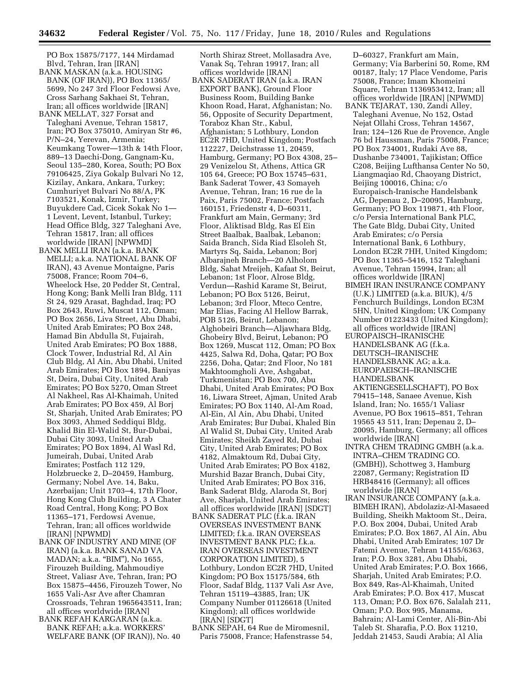PO Box 15875/7177, 144 Mirdamad Blvd, Tehran, Iran [IRAN]

- BANK MASKAN (a.k.a. HOUSING BANK (OF IRAN)), PO Box 11365/ 5699, No 247 3rd Floor Fedowsi Ave, Cross Sarhang Sakhaei St, Tehran, Iran; all offices worldwide [IRAN]
- BANK MELLAT, 327 Forsat and Taleghani Avenue, Tehran 15817, Iran; PO Box 375010, Amiryan Str #6, P/N–24, Yerevan, Armenia; Keumkang Tower—13th & 14th Floor, 889–13 Daechi-Dong, Gangnam-Ku, Seoul 135–280, Korea, South; PO Box 79106425, Ziya Gokalp Bulvari No 12, Kizilay, Ankara, Ankara, Turkey; Cumhuriyet Bulvari No 88/A, PK 7103521, Konak, Izmir, Turkey; Buyukdere Cad, Cicek Sokak No 1— 1 Levent, Levent, Istanbul, Turkey; Head Office Bldg, 327 Taleghani Ave, Tehran 15817, Iran; all offices worldwide [IRAN] [NPWMD]
- BANK MELLI IRAN (a.k.a. BANK MELLI; a.k.a. NATIONAL BANK OF IRAN), 43 Avenue Montaigne, Paris 75008, France; Room 704–6, Wheelock Hse, 20 Pedder St, Central, Hong Kong; Bank Melli Iran Bldg, 111 St 24, 929 Arasat, Baghdad, Iraq; PO Box 2643, Ruwi, Muscat 112, Oman; PO Box 2656, Liva Street, Abu Dhabi, United Arab Emirates; PO Box 248, Hamad Bin Abdulla St, Fujairah, United Arab Emirates; PO Box 1888, Clock Tower, Industrial Rd, Al Ain Club Bldg, Al Ain, Abu Dhabi, United Arab Emirates; PO Box 1894, Baniyas St, Deira, Dubai City, United Arab Emirates; PO Box 5270, Oman Street Al Nakheel, Ras Al-Khaimah, United Arab Emirates; PO Box 459, Al Borj St, Sharjah, United Arab Emirates; PO Box 3093, Ahmed Seddiqui Bldg, Khalid Bin El-Walid St, Bur-Dubai, Dubai City 3093, United Arab Emirates; PO Box 1894, Al Wasl Rd, Jumeirah, Dubai, United Arab Emirates; Postfach 112 129, Holzbruecke 2, D–20459, Hamburg, Germany; Nobel Ave. 14, Baku, Azerbaijan; Unit 1703–4, 17th Floor, Hong Kong Club Building, 3 A Chater Road Central, Hong Kong; PO Box 11365–171, Ferdowsi Avenue, Tehran, Iran; all offices worldwide [IRAN] [NPWMD]
- BANK OF INDUSTRY AND MINE (OF IRAN) (a.k.a. BANK SANAD VA MADAN; a.k.a. ''BIM''), No 1655, Firouzeh Building, Mahmoudiye Street, Valiasr Ave, Tehran, Iran; PO Box 15875–4456, Firouzeh Tower, No 1655 Vali-Asr Ave after Chamran Crossroads, Tehran 1965643511, Iran; all offices worldwide [IRAN]
- BANK REFAH KARGARAN (a.k.a. BANK REFAH; a.k.a. WORKERS' WELFARE BANK (OF IRAN)), No. 40

North Shiraz Street, Mollasadra Ave, Vanak Sq, Tehran 19917, Iran; all offices worldwide [IRAN]

- BANK SADERAT IRAN (a.k.a. IRAN EXPORT BANK), Ground Floor Business Room, Building Banke Khoon Road, Harat, Afghanistan; No. 56, Opposite of Security Department, Toraboz Khan Str., Kabul, Afghanistan; 5 Lothbury, London EC2R 7HD, United Kingdom; Postfach 112227, Deichstrasse 11, 20459, Hamburg, Germany; PO Box 4308, 25– 29 Venizelou St, Athens, Attica GR 105 64, Greece; PO Box 15745–631, Bank Saderat Tower, 43 Somayeh Avenue, Tehran, Iran; 16 rue de la Paix, Paris 75002, France; Postfach 160151, Friedenstr 4, D–60311, Frankfurt am Main, Germany; 3rd Floor, Aliktisad Bldg, Ras El Ein Street Baalbak, Baalbak, Lebanon; Saida Branch, Sida Riad Elsoleh St, Martyrs Sq, Saida, Lebanon; Borj Albarajneh Branch—20 Alholom Bldg, Sahat Mreijeh, Kafaat St, Beirut, Lebanon; 1st Floor, Alrose Bldg, Verdun—Rashid Karame St, Beirut, Lebanon; PO Box 5126, Beirut, Lebanon; 3rd Floor, Mteco Centre, Mar Elias, Facing Al Hellow Barrak, POB 5126, Beirut, Lebanon; Alghobeiri Branch—Aljawhara Bldg, Ghobeiry Blvd, Beirut, Lebanon; PO Box 1269, Muscat 112, Oman; PO Box 4425, Salwa Rd, Doha, Qatar; PO Box 2256, Doha, Qatar; 2nd Floor, No 181 Makhtoomgholi Ave, Ashgabat, Turkmenistan; PO Box 700, Abu Dhabi, United Arab Emirates; PO Box 16, Liwara Street, Ajman, United Arab Emirates; PO Box 1140, Al-Am Road, Al-Ein, Al Ain, Abu Dhabi, United Arab Emirates; Bur Dubai, Khaled Bin Al Walid St, Dubai City, United Arab Emirates; Sheikh Zayed Rd, Dubai City, United Arab Emirates; PO Box 4182, Almaktoum Rd, Dubai City, United Arab Emirates; PO Box 4182, Murshid Bazar Branch, Dubai City, United Arab Emirates; PO Box 316, Bank Saderat Bldg, Alaroda St, Borj Ave, Sharjah, United Arab Emirates; all offices worldwide [IRAN] [SDGT]
- BANK SADERAT PLC (f.k.a. IRAN OVERSEAS INVESTMENT BANK LIMITED; f.k.a. IRAN OVERSEAS INVESTMENT BANK PLC; f.k.a. IRAN OVERSEAS INVESTMENT CORPORATION LIMITED), 5 Lothbury, London EC2R 7HD, United Kingdom; PO Box 15175/584, 6th Floor, Sadaf Bldg, 1137 Vali Asr Ave, Tehran 15119–43885, Iran; UK Company Number 01126618 (United Kingdom); all offices worldwide [IRAN] [SDGT]
- BANK SEPAH, 64 Rue de Miromesnil, Paris 75008, France; Hafenstrasse 54,

D–60327, Frankfurt am Main, Germany; Via Barberini 50, Rome, RM 00187, Italy; 17 Place Vendome, Paris 75008, France; Imam Khomeini Square, Tehran 1136953412, Iran; all offices worldwide [IRAN] [NPWMD]

- BANK TEJARAT, 130, Zandi Alley, Taleghani Avenue, No 152, Ostad Nejat Ollahi Cross, Tehran 14567, Iran; 124–126 Rue de Provence, Angle 76 bd Haussman, Paris 75008, France; PO Box 734001, Rudaki Ave 88, Dushanbe 734001, Tajikistan; Office C208, Beijing Lufthansa Center No 50, Liangmaqiao Rd, Chaoyang District, Beijing 100016, China; c/o Europaisch-Iranische Handelsbank AG, Depenau 2, D–20095, Hamburg, Germany; PO Box 119871, 4th Floor, c/o Persia International Bank PLC, The Gate Bldg, Dubai City, United Arab Emirates; c/o Persia International Bank, 6 Lothbury, London EC2R 7HH, United Kingdom; PO Box 11365–5416, 152 Taleghani Avenue, Tehran 15994, Iran; all offices worldwide [IRAN]
- BIMEH IRAN INSURANCE COMPANY (U.K.) LIMITED (a.k.a. BIUK), 4/5 Fenchurch Buildings, London EC3M 5HN, United Kingdom; UK Company Number 01223433 (United Kingdom); all offices worldwide [IRAN]
- EUROPAISCH–IRANISCHE HANDELSBANK AG (f.k.a. DEUTSCH–IRANISCHE HANDELSBANK AG; a.k.a. EUROPAEISCH–IRANISCHE HANDELSBANK AKTIENGESELLSCHAFT), PO Box 79415–148, Sanaee Avenue, Kish Island, Iran; No. 1655/1 Valiasr
- Avenue, PO Box 19615–851, Tehran 19565 43 511, Iran; Depenau 2, D– 20095, Hamburg, Germany; all offices worldwide [IRAN]
- INTRA CHEM TRADING GMBH (a.k.a. INTRA–CHEM TRADING CO. (GMBH)), Schottweg 3, Hamburg 22087, Germany; Registration ID HRB48416 (Germany); all offices worldwide [IRAN]
- IRAN INSURANCE COMPANY (a.k.a. BIMEH IRAN), Abdolaziz-Al-Masaeed Building, Sheikh Maktoom St., Deira, P.O. Box 2004, Dubai, United Arab Emirates; P.O. Box 1867, Al Ain, Abu Dhabi, United Arab Emirates; 107 Dr Fatemi Avenue, Tehran 14155/6363, Iran; P.O. Box 3281, Abu Dhabi, United Arab Emirates; P.O. Box 1666, Sharjah, United Arab Emirates; P.O. Box 849, Ras-Al-Khaimah, United Arab Emirates; P.O. Box 417, Muscat 113, Oman; P.O. Box 676, Salalah 211, Oman; P.O. Box 995, Manama, Bahrain; Al-Lami Center, Ali-Bin-Abi Taleb St. Sharafia, P.O. Box 11210, Jeddah 21453, Saudi Arabia; Al Alia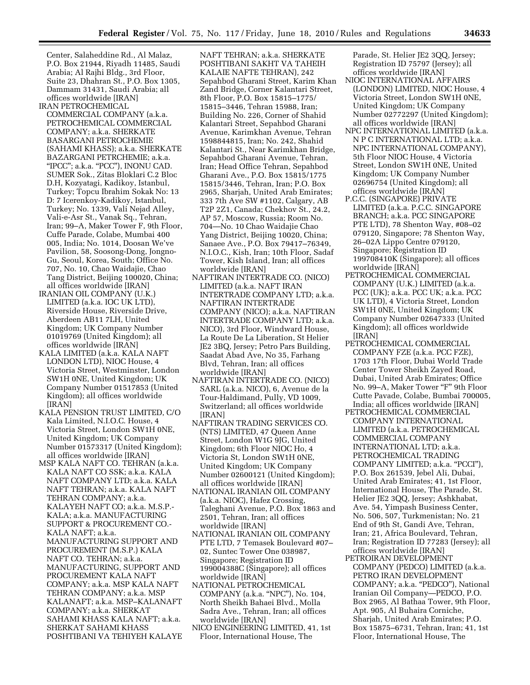Center, Salaheddine Rd., Al Malaz, P.O. Box 21944, Riyadh 11485, Saudi Arabia; Al Rajhi Bldg., 3rd Floor, Suite 23, Dhahran St., P.O. Box 1305, Dammam 31431, Saudi Arabia; all offices worldwide [IRAN]

- IRAN PETROCHEMICAL COMMERCIAL COMPANY (a.k.a. PETROCHEMICAL COMMERCIAL COMPANY; a.k.a. SHERKATE BASARGANI PETROCHEMIE (SAHAMI KHASS); a.k.a. SHERKATE BAZARGANI PETRCHEMIE; a.k.a. ''IPCC''; a.k.a. ''PCC''), INONU CAD. SUMER Sok., Zitas Bloklari C.2 Bloc D.H, Kozyatagi, Kadikoy, Istanbul, Turkey; Topcu Ibrahim Sokak No: 13 D: 7 Icerenkoy-Kadikoy, Istanbul, Turkey; No. 1339, Vali Nejad Alley, Vali-e-Asr St., Vanak Sq., Tehran, Iran; 99–A, Maker Tower F, 9th Floor, Cuffe Parade, Colabe, Mumbai 400 005, India; No. 1014, Doosan We've Pavilion, 58, Soosong-Dong, Jongno-Gu, Seoul, Korea, South; Office No. 707, No. 10, Chao Waidajie, Chao Tang District, Beijing 100020, China; all offices worldwide [IRAN]
- IRANIAN OIL COMPANY (U.K.) LIMITED (a.k.a. IOC UK LTD), Riverside House, Riverside Drive, Aberdeen AB11 7LH, United Kingdom; UK Company Number 01019769 (United Kingdom); all offices worldwide [IRAN]
- KALA LIMITED (a.k.a. KALA NAFT LONDON LTD), NIOC House, 4 Victoria Street, Westminster, London SW1H 0NE, United Kingdom; UK Company Number 01517853 (United Kingdom); all offices worldwide [IRAN]
- KALA PENSION TRUST LIMITED, C/O Kala Limited, N.I.O.C. House, 4 Victoria Street, London SW1H 0NE, United Kingdom; UK Company Number 01573317 (United Kingdom); all offices worldwide [IRAN]
- MSP KALA NAFT CO. TEHRAN (a.k.a. KALA NAFT CO SSK; a.k.a. KALA NAFT COMPANY LTD; a.k.a. KALA NAFT TEHRAN; a.k.a. KALA NAFT TEHRAN COMPANY; a.k.a. KALAYEH NAFT CO; a.k.a. M.S.P.- KALA; a.k.a. MANUFACTURING SUPPORT & PROCUREMENT CO.- KALA NAFT; a.k.a. MANUFACTURING SUPPORT AND PROCUREMENT (M.S.P.) KALA NAFT CO. TEHRAN; a.k.a. MANUFACTURING, SUPPORT AND PROCUREMENT KALA NAFT COMPANY; a.k.a. MSP KALA NAFT TEHRAN COMPANY; a.k.a. MSP KALANAFT; a.k.a. MSP–KALANAFT COMPANY; a.k.a. SHERKAT SAHAMI KHASS KALA NAFT; a.k.a. SHERKAT SAHAMI KHASS
	- POSHTIBANI VA TEHIYEH KALAYE

NAFT TEHRAN; a.k.a. SHERKATE POSHTIBANI SAKHT VA TAHEIH KALAIE NAFTE TEHRAN), 242 Sepahbod Gharani Street, Karim Khan Zand Bridge, Corner Kalantari Street, 8th Floor, P.O. Box 15815–1775/ 15815–3446, Tehran 15988, Iran; Building No. 226, Corner of Shahid Kalantari Street, Sepahbod Gharani Avenue, Karimkhan Avenue, Tehran 1598844815, Iran; No. 242, Shahid Kalantari St., Near Karimkhan Bridge, Sepahbod Gharani Avenue, Tehran, Iran; Head Office Tehran, Sepahbod Gharani Ave., P.O. Box 15815/1775 15815/3446, Tehran, Iran; P.O. Box 2965, Sharjah, United Arab Emirates; 333 7th Ave SW #1102, Calgary, AB T2P 2Z1, Canada; Chekhov St., 24.2, AP 57, Moscow, Russia; Room No. 704—No. 10 Chao Waidajie Chao Yang District, Beijing 10020, China; Sanaee Ave., P.O. Box 79417–76349, N.I.O.C., Kish, Iran; 10th Floor, Sadaf Tower, Kish Island, Iran; all offices worldwide [IRAN]

- NAFTIRAN INTERTRADE CO. (NICO) LIMITED (a.k.a. NAFT IRAN INTERTRADE COMPANY LTD; a.k.a. NAFTIRAN INTERTRADE COMPANY (NICO); a.k.a. NAFTIRAN INTERTRADE COMPANY LTD; a.k.a. NICO), 3rd Floor, Windward House, La Route De La Liberation, St Helier JE2 3BQ, Jersey; Petro Pars Building, Saadat Abad Ave, No 35, Farhang Blvd, Tehran, Iran; all offices worldwide [IRAN]
- NAFTIRAN INTERTRADE CO. (NICO) SARL (a.k.a. NICO), 6, Avenue de la Tour-Haldimand, Pully, VD 1009, Switzerland; all offices worldwide [IRAN]
- NAFTIRAN TRADING SERVICES CO. (NTS) LIMITED, 47 Queen Anne Street, London W1G 9JG, United Kingdom; 6th Floor NIOC Ho, 4 Victoria St, London SW1H 0NE, United Kingdom; UK Company Number 02600121 (United Kingdom); all offices worldwide [IRAN]
- NATIONAL IRANIAN OIL COMPANY (a.k.a. NIOC), Hafez Crossing, Taleghani Avenue, P.O. Box 1863 and 2501, Tehran, Iran; all offices worldwide [IRAN]
- NATIONAL IRANIAN OIL COMPANY PTE LTD, 7 Temasek Boulevard #07– 02, Suntec Tower One 038987, Singapore; Registration ID 199004388C (Singapore); all offices worldwide [IRAN]
- NATIONAL PETROCHEMICAL COMPANY (a.k.a. ''NPC''), No. 104, North Sheikh Bahaei Blvd., Molla Sadra Ave., Tehran, Iran; all offices worldwide [IRAN]
- NICO ENGINEERING LIMITED, 41, 1st Floor, International House, The

Parade, St. Helier JE2 3QQ, Jersey; Registration ID 75797 (Jersey); all offices worldwide [IRAN]

- NIOC INTERNATIONAL AFFAIRS (LONDON) LIMITED, NIOC House, 4 Victoria Street, London SW1H 0NE, United Kingdom; UK Company Number 02772297 (United Kingdom); all offices worldwide [IRAN]
- NPC INTERNATIONAL LIMITED (a.k.a. N P C INTERNATIONAL LTD; a.k.a. NPC INTERNATIONAL COMPANY), 5th Floor NIOC House, 4 Victoria Street, London SW1H 0NE, United Kingdom; UK Company Number 02696754 (United Kingdom); all offices worldwide [IRAN]
- P.C.C. (SINGAPORE) PRIVATE LIMITED (a.k.a. P.C.C. SINGAPORE BRANCH; a.k.a. PCC SINGAPORE PTE LTD), 78 Shenton Way, #08–02 079120, Singapore; 78 Shenton Way, 26–02A Lippo Centre 079120, Singapore; Registration ID 199708410K (Singapore); all offices worldwide [IRAN]
- PETROCHEMICAL COMMERCIAL COMPANY (U.K.) LIMITED (a.k.a. PCC (UK); a.k.a. PCC UK; a.k.a. PCC UK LTD), 4 Victoria Street, London SW1H 0NE, United Kingdom; UK Company Number 02647333 (United Kingdom); all offices worldwide [IRAN]
- PETROCHEMICAL COMMERCIAL COMPANY FZE (a.k.a. PCC FZE), 1703 17th Floor, Dubai World Trade Center Tower Sheikh Zayed Road, Dubai, United Arab Emirates; Office No. 99-A, Maker Tower "F" 9th Floor Cutte Pavade, Colabe, Bumbai 700005, India; all offices worldwide [IRAN]
- PETROCHEMICAL COMMERCIAL COMPANY INTERNATIONAL LIMITED (a.k.a. PETROCHEMICAL COMMERCIAL COMPANY INTERNATIONAL LTD; a.k.a. PETROCHEMICAL TRADING COMPANY LIMITED; a.k.a. ''PCCI''), P.O. Box 261539, Jebel Ali, Dubai, United Arab Emirates; 41, 1st Floor, International House, The Parade, St. Helier JE2 3QQ, Jersey; Ashkhabat, Ave. 54, Yimpash Business Center, No. 506, 507, Turkmenistan; No. 21 End of 9th St, Gandi Ave, Tehran, Iran; 21, Africa Boulevard, Tehran, Iran; Registration ID 77283 (Jersey); all offices worldwide [IRAN]
- PETROIRAN DEVELOPMENT COMPANY (PEDCO) LIMITED (a.k.a. PETRO IRAN DEVELOPMENT COMPANY; a.k.a. ''PEDCO''), National Iranian Oil Company—PEDCO, P.O. Box 2965, Al Bathaa Tower, 9th Floor, Apt. 905, Al Buhaira Corniche, Sharjah, United Arab Emirates; P.O. Box 15875–6731, Tehran, Iran; 41, 1st Floor, International House, The